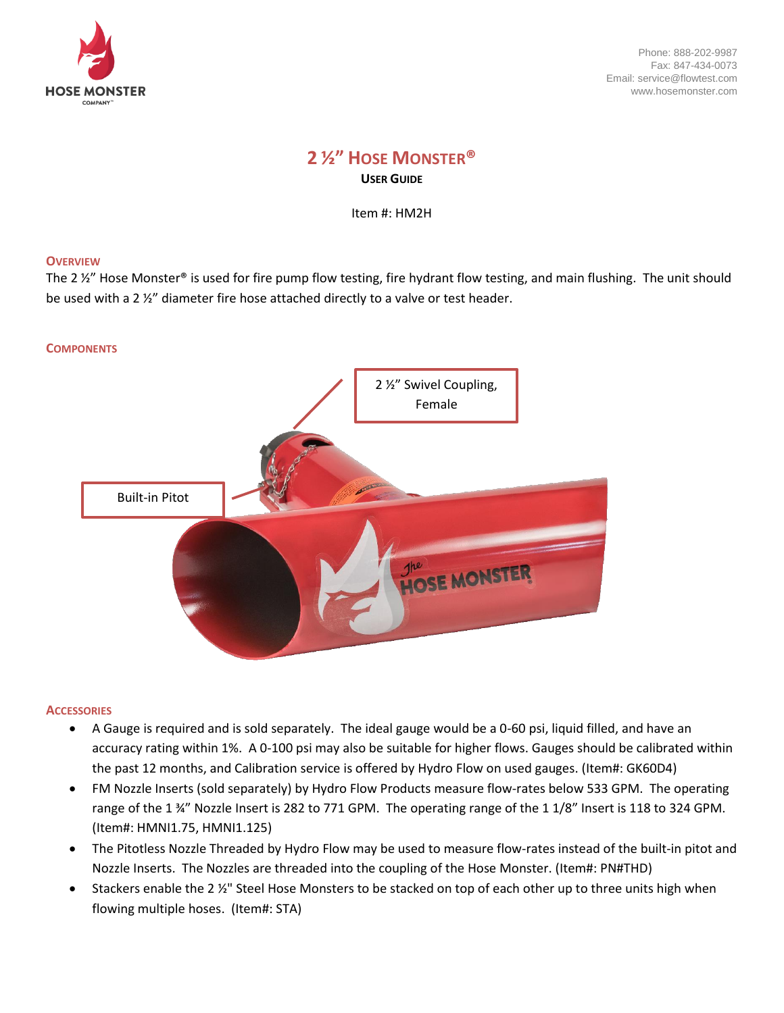

# **2 ½" HOSE MONSTER® USER GUIDE**

Item #: HM2H

### **OVERVIEW**

The 2 ½" Hose Monster® is used for fire pump flow testing, fire hydrant flow testing, and main flushing. The unit should be used with a 2 ½" diameter fire hose attached directly to a valve or test header.



#### **ACCESSORIES**

- A Gauge is required and is sold separately. The ideal gauge would be a 0-60 psi, liquid filled, and have an accuracy rating within 1%. A 0-100 psi may also be suitable for higher flows. Gauges should be calibrated within the past 12 months, and Calibration service is offered by Hydro Flow on used gauges. (Item#: GK60D4)
- FM Nozzle Inserts (sold separately) by Hydro Flow Products measure flow-rates below 533 GPM. The operating range of the 1 ¾" Nozzle Insert is 282 to 771 GPM. The operating range of the 1 1/8" Insert is 118 to 324 GPM. (Item#: HMNI1.75, HMNI1.125)
- The Pitotless Nozzle Threaded by Hydro Flow may be used to measure flow-rates instead of the built-in pitot and Nozzle Inserts. The Nozzles are threaded into the coupling of the Hose Monster. (Item#: PN#THD)
- Stackers enable the 2 1/2" Steel Hose Monsters to be stacked on top of each other up to three units high when flowing multiple hoses. (Item#: STA)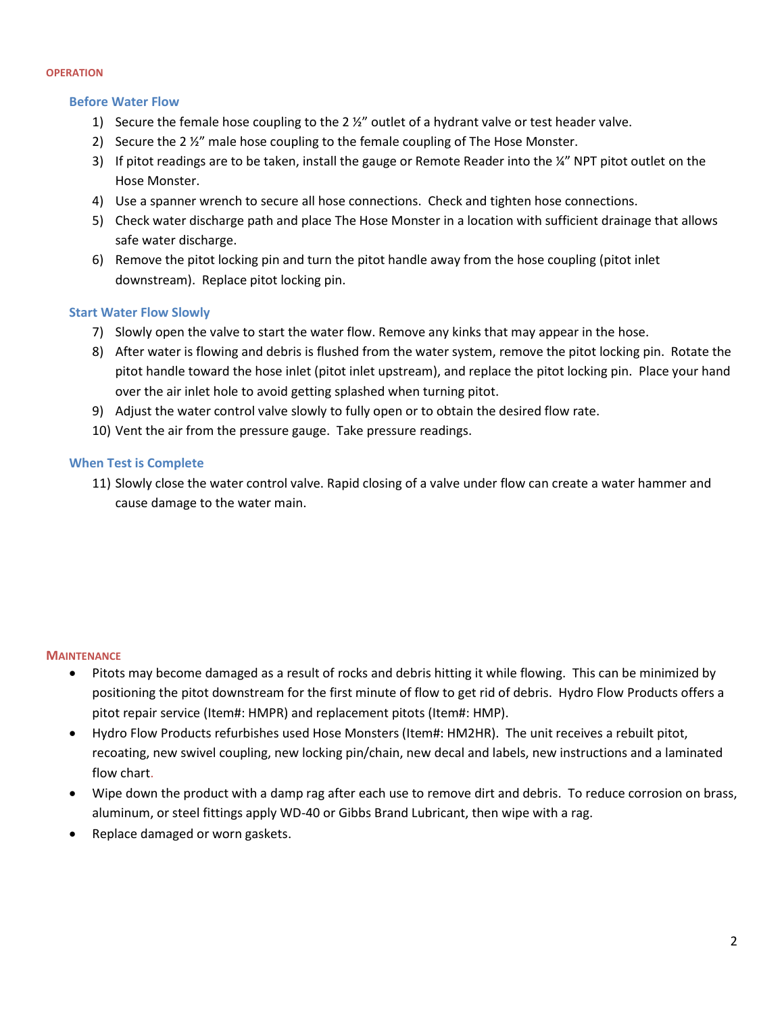#### **OPERATION**

#### **Before Water Flow**

- 1) Secure the female hose coupling to the 2 ½" outlet of a hydrant valve or test header valve.
- 2) Secure the 2 ½" male hose coupling to the female coupling of The Hose Monster.
- 3) If pitot readings are to be taken, install the gauge or Remote Reader into the ¼" NPT pitot outlet on the Hose Monster.
- 4) Use a spanner wrench to secure all hose connections. Check and tighten hose connections.
- 5) Check water discharge path and place The Hose Monster in a location with sufficient drainage that allows safe water discharge.
- 6) Remove the pitot locking pin and turn the pitot handle away from the hose coupling (pitot inlet downstream). Replace pitot locking pin.

# **Start Water Flow Slowly**

- 7) Slowly open the valve to start the water flow. Remove any kinks that may appear in the hose.
- 8) After water is flowing and debris is flushed from the water system, remove the pitot locking pin. Rotate the pitot handle toward the hose inlet (pitot inlet upstream), and replace the pitot locking pin. Place your hand over the air inlet hole to avoid getting splashed when turning pitot.
- 9) Adjust the water control valve slowly to fully open or to obtain the desired flow rate.
- 10) Vent the air from the pressure gauge. Take pressure readings.

# **When Test is Complete**

11) Slowly close the water control valve. Rapid closing of a valve under flow can create a water hammer and cause damage to the water main.

#### **MAINTENANCE**

- Pitots may become damaged as a result of rocks and debris hitting it while flowing. This can be minimized by positioning the pitot downstream for the first minute of flow to get rid of debris. Hydro Flow Products offers a pitot repair service (Item#: HMPR) and replacement pitots (Item#: HMP).
- Hydro Flow Products refurbishes used Hose Monsters (Item#: HM2HR). The unit receives a rebuilt pitot, recoating, new swivel coupling, new locking pin/chain, new decal and labels, new instructions and a laminated flow chart.
- Wipe down the product with a damp rag after each use to remove dirt and debris. To reduce corrosion on brass, aluminum, or steel fittings apply WD-40 or Gibbs Brand Lubricant, then wipe with a rag.
- Replace damaged or worn gaskets.